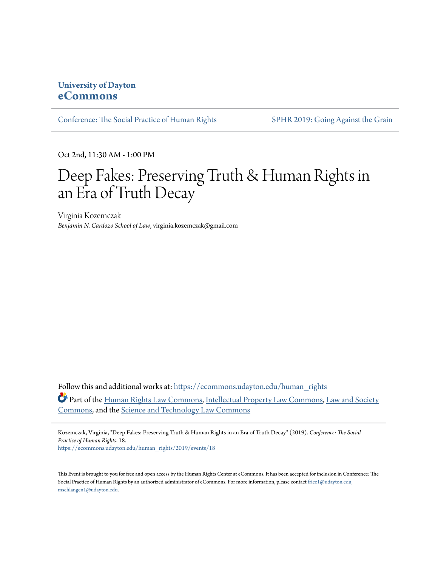## **University of Dayton [eCommons](https://ecommons.udayton.edu/?utm_source=ecommons.udayton.edu%2Fhuman_rights%2F2019%2Fevents%2F18&utm_medium=PDF&utm_campaign=PDFCoverPages)**

[Conference: The Social Practice of Human Rights](https://ecommons.udayton.edu/human_rights?utm_source=ecommons.udayton.edu%2Fhuman_rights%2F2019%2Fevents%2F18&utm_medium=PDF&utm_campaign=PDFCoverPages) [SPHR 2019: Going Against the Grain](https://ecommons.udayton.edu/human_rights/2019?utm_source=ecommons.udayton.edu%2Fhuman_rights%2F2019%2Fevents%2F18&utm_medium=PDF&utm_campaign=PDFCoverPages)

Oct 2nd, 11:30 AM - 1:00 PM

## Deep Fakes: Preserving Truth & Human Rights in an Era of Truth Decay

Virginia Kozemczak *Benjamin N. Cardozo School of Law*, virginia.kozemczak@gmail.com

Follow this and additional works at: [https://ecommons.udayton.edu/human\\_rights](https://ecommons.udayton.edu/human_rights?utm_source=ecommons.udayton.edu%2Fhuman_rights%2F2019%2Fevents%2F18&utm_medium=PDF&utm_campaign=PDFCoverPages) Part of the [Human Rights Law Commons,](http://network.bepress.com/hgg/discipline/847?utm_source=ecommons.udayton.edu%2Fhuman_rights%2F2019%2Fevents%2F18&utm_medium=PDF&utm_campaign=PDFCoverPages) [Intellectual Property Law Commons](http://network.bepress.com/hgg/discipline/896?utm_source=ecommons.udayton.edu%2Fhuman_rights%2F2019%2Fevents%2F18&utm_medium=PDF&utm_campaign=PDFCoverPages), [Law and Society](http://network.bepress.com/hgg/discipline/853?utm_source=ecommons.udayton.edu%2Fhuman_rights%2F2019%2Fevents%2F18&utm_medium=PDF&utm_campaign=PDFCoverPages) [Commons,](http://network.bepress.com/hgg/discipline/853?utm_source=ecommons.udayton.edu%2Fhuman_rights%2F2019%2Fevents%2F18&utm_medium=PDF&utm_campaign=PDFCoverPages) and the [Science and Technology Law Commons](http://network.bepress.com/hgg/discipline/875?utm_source=ecommons.udayton.edu%2Fhuman_rights%2F2019%2Fevents%2F18&utm_medium=PDF&utm_campaign=PDFCoverPages)

Kozemczak, Virginia, "Deep Fakes: Preserving Truth & Human Rights in an Era of Truth Decay" (2019). *Conference: The Social Practice of Human Rights*. 18. [https://ecommons.udayton.edu/human\\_rights/2019/events/18](https://ecommons.udayton.edu/human_rights/2019/events/18?utm_source=ecommons.udayton.edu%2Fhuman_rights%2F2019%2Fevents%2F18&utm_medium=PDF&utm_campaign=PDFCoverPages)

This Event is brought to you for free and open access by the Human Rights Center at eCommons. It has been accepted for inclusion in Conference: The Social Practice of Human Rights by an authorized administrator of eCommons. For more information, please contact [frice1@udayton.edu,](mailto:frice1@udayton.edu,%20mschlangen1@udayton.edu) [mschlangen1@udayton.edu.](mailto:frice1@udayton.edu,%20mschlangen1@udayton.edu)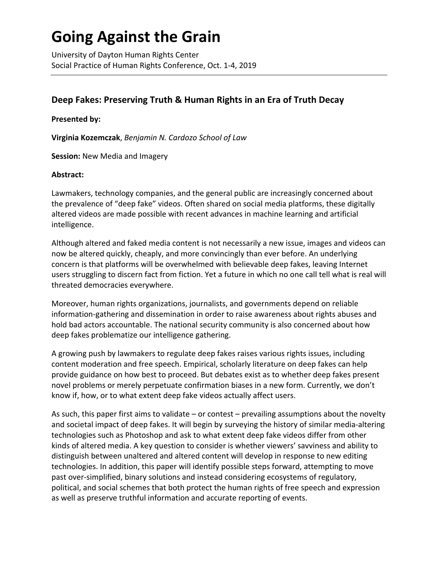# **Going Against the Grain**

University of Dayton Human Rights Center Social Practice of Human Rights Conference, Oct. 1-4, 2019

## **Deep Fakes: Preserving Truth & Human Rights in an Era of Truth Decay**

### **Presented by:**

**Virginia Kozemczak**, *Benjamin N. Cardozo School of Law*

**Session:** New Media and Imagery

#### **Abstract:**

Lawmakers, technology companies, and the general public are increasingly concerned about the prevalence of "deep fake" videos. Often shared on social media platforms, these digitally altered videos are made possible with recent advances in machine learning and artificial intelligence.

Although altered and faked media content is not necessarily a new issue, images and videos can now be altered quickly, cheaply, and more convincingly than ever before. An underlying concern is that platforms will be overwhelmed with believable deep fakes, leaving Internet users struggling to discern fact from fiction. Yet a future in which no one call tell what is real will threated democracies everywhere.

Moreover, human rights organizations, journalists, and governments depend on reliable information-gathering and dissemination in order to raise awareness about rights abuses and hold bad actors accountable. The national security community is also concerned about how deep fakes problematize our intelligence gathering.

A growing push by lawmakers to regulate deep fakes raises various rights issues, including content moderation and free speech. Empirical, scholarly literature on deep fakes can help provide guidance on how best to proceed. But debates exist as to whether deep fakes present novel problems or merely perpetuate confirmation biases in a new form. Currently, we don't know if, how, or to what extent deep fake videos actually affect users.

As such, this paper first aims to validate – or contest – prevailing assumptions about the novelty and societal impact of deep fakes. It will begin by surveying the history of similar media-altering technologies such as Photoshop and ask to what extent deep fake videos differ from other kinds of altered media. A key question to consider is whether viewers' savviness and ability to distinguish between unaltered and altered content will develop in response to new editing technologies. In addition, this paper will identify possible steps forward, attempting to move past over-simplified, binary solutions and instead considering ecosystems of regulatory, political, and social schemes that both protect the human rights of free speech and expression as well as preserve truthful information and accurate reporting of events.